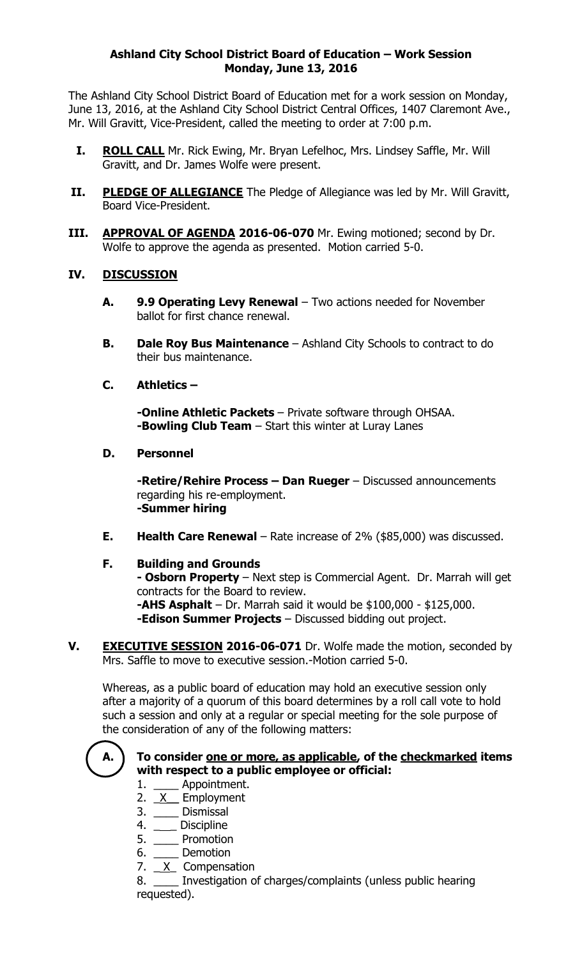# **Ashland City School District Board of Education – Work Session Monday, June 13, 2016**

The Ashland City School District Board of Education met for a work session on Monday, June 13, 2016, at the Ashland City School District Central Offices, 1407 Claremont Ave., Mr. Will Gravitt, Vice-President, called the meeting to order at 7:00 p.m.

- **I. ROLL CALL** Mr. Rick Ewing, Mr. Bryan Lefelhoc, Mrs. Lindsey Saffle, Mr. Will Gravitt, and Dr. James Wolfe were present.
- **II. PLEDGE OF ALLEGIANCE** The Pledge of Allegiance was led by Mr. Will Gravitt, Board Vice-President.
- **III. APPROVAL OF AGENDA 2016-06-070** Mr. Ewing motioned; second by Dr. Wolfe to approve the agenda as presented. Motion carried 5-0.

# **IV. DISCUSSION**

- **A. 9.9 Operating Levy Renewal** Two actions needed for November ballot for first chance renewal.
- **B. Dale Roy Bus Maintenance**  Ashland City Schools to contract to do their bus maintenance.

# **C. Athletics –**

**-Online Athletic Packets** – Private software through OHSAA. **-Bowling Club Team** – Start this winter at Luray Lanes

### **D. Personnel**

**-Retire/Rehire Process – Dan Rueger** – Discussed announcements regarding his re-employment. **-Summer hiring**

**E. Health Care Renewal** – Rate increase of 2% (\$85,000) was discussed.

### **F. Building and Grounds**

**- Osborn Property** – Next step is Commercial Agent. Dr. Marrah will get contracts for the Board to review.

**-AHS Asphalt** – Dr. Marrah said it would be \$100,000 - \$125,000. **-Edison Summer Projects** – Discussed bidding out project.

**V. EXECUTIVE SESSION 2016-06-071** Dr. Wolfe made the motion, seconded by Mrs. Saffle to move to executive session.-Motion carried 5-0.

Whereas, as a public board of education may hold an executive session only after a majority of a quorum of this board determines by a roll call vote to hold such a session and only at a regular or special meeting for the sole purpose of the consideration of any of the following matters:



# **A. To consider one or more, as applicable, of the checkmarked items with respect to a public employee or official:**

- 1. \_\_\_\_\_ Appointment.
- 2.  $X$  Employment
- 3. \_\_\_\_ Dismissal
- 4. \_\_\_\_ Discipline
- 5. \_\_\_\_ Promotion
- 6. \_\_\_\_ Demotion
- 7.  $X$  Compensation

8. \_\_\_\_ Investigation of charges/complaints (unless public hearing requested).